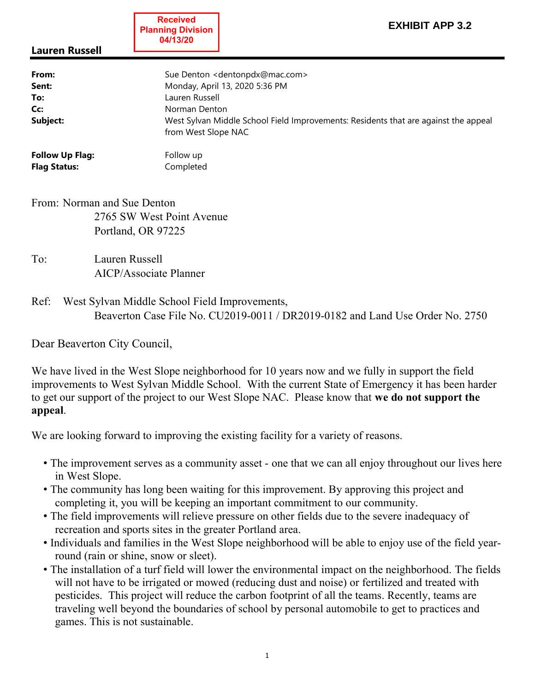**Received Planning Division 04/13/20**

## Lauren Russell

| From:                  | Sue Denton <dentonpdx@mac.com></dentonpdx@mac.com>                                                         |
|------------------------|------------------------------------------------------------------------------------------------------------|
| Sent:                  | Monday, April 13, 2020 5:36 PM                                                                             |
| To:                    | Lauren Russell                                                                                             |
| Cc:                    | Norman Denton                                                                                              |
| Subject:               | West Sylvan Middle School Field Improvements: Residents that are against the appeal<br>from West Slope NAC |
| <b>Follow Up Flag:</b> | Follow up                                                                                                  |

From: Norman and Sue Denton 2765 SW West Point Avenue Portland, OR 97225

To: Lauren Russell AICP/Associate Planner

Flag Status: Completed

Ref: West Sylvan Middle School Field Improvements, Beaverton Case File No. CU2019-0011 / DR2019-0182 and Land Use Order No. 2750

Dear Beaverton City Council,

We have lived in the West Slope neighborhood for 10 years now and we fully in support the field improvements to West Sylvan Middle School. With the current State of Emergency it has been harder to get our support of the project to our West Slope NAC. Please know that we do not support the appeal.

We are looking forward to improving the existing facility for a variety of reasons.

- The improvement serves as a community asset one that we can all enjoy throughout our lives here in West Slope.
- The community has long been waiting for this improvement. By approving this project and completing it, you will be keeping an important commitment to our community.
- The field improvements will relieve pressure on other fields due to the severe inadequacy of recreation and sports sites in the greater Portland area.
- Individuals and families in the West Slope neighborhood will be able to enjoy use of the field yearround (rain or shine, snow or sleet).
- The installation of a turf field will lower the environmental impact on the neighborhood. The fields will not have to be irrigated or mowed (reducing dust and noise) or fertilized and treated with pesticides. This project will reduce the carbon footprint of all the teams. Recently, teams are traveling well beyond the boundaries of school by personal automobile to get to practices and games. This is not sustainable.